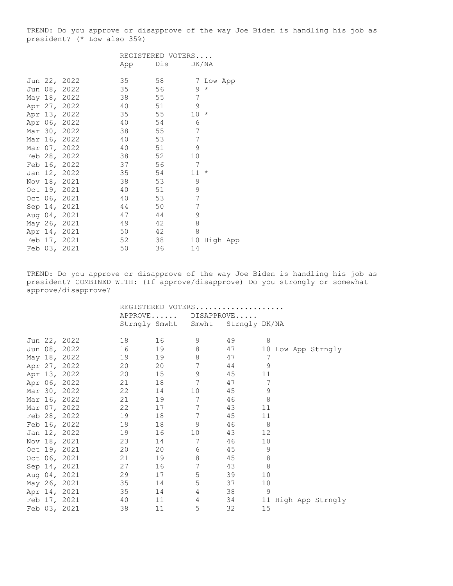TREND: Do you approve or disapprove of the way Joe Biden is handling his job as president? (\* Low also 35%)

|  |              |     | REGISTERED VOTERS |                            |
|--|--------------|-----|-------------------|----------------------------|
|  |              | App | Dis               | DK/NA                      |
|  |              |     |                   |                            |
|  | Jun 22, 2022 | 35  | 58                | 7 Low App                  |
|  | Jun 08, 2022 | 35  | 56                | 9<br>$\star$               |
|  | May 18, 2022 | 38  | 55                | 7                          |
|  | Apr 27, 2022 | 40  | 51                | 9                          |
|  | Apr 13, 2022 | 35  | 55                | $\star$<br>10 <sup>°</sup> |
|  | Apr 06, 2022 | 40  | 54                | 6                          |
|  | Mar 30, 2022 | 38  | 55                | 7                          |
|  | Mar 16, 2022 | 40  | 53                | 7                          |
|  | Mar 07, 2022 | 40  | 51                | 9                          |
|  | Feb 28, 2022 | 38  | 52                | 10                         |
|  | Feb 16, 2022 | 37  | 56                | 7                          |
|  | Jan 12, 2022 | 35  | 54                | $^{\star}$<br>11           |
|  | Nov 18, 2021 | 38  | 53                | 9                          |
|  | Oct 19, 2021 | 40  | 51                | 9                          |
|  | Oct 06, 2021 | 40  | 53                | 7                          |
|  | Sep 14, 2021 | 44  | 50                | 7                          |
|  | Aug 04, 2021 | 47  | 44                | 9                          |
|  | May 26, 2021 | 49  | 42                | 8                          |
|  | Apr 14, 2021 | 50  | 42                | 8                          |
|  | Feb 17, 2021 | 52  | 38                | 10<br>High App             |
|  | Feb 03, 2021 | 50  | 36                | 14                         |

TREND: Do you approve or disapprove of the way Joe Biden is handling his job as president? COMBINED WITH: (If approve/disapprove) Do you strongly or somewhat approve/disapprove?

|  |              | REGISTERED VOTERS |        |                                   |                      |                        |
|--|--------------|-------------------|--------|-----------------------------------|----------------------|------------------------|
|  |              |                   |        | APPROVE DISAPPROVE                |                      |                        |
|  |              |                   |        | Strngly Smwht Smwht Strngly DK/NA |                      |                        |
|  | Jun 22, 2022 |                   |        | 9                                 | 49                   | 8                      |
|  | Jun 08, 2022 | 16 16             | 19     | 8                                 | 47                   | 10 Low App Strngly     |
|  | May 18, 2022 | 19                | 19     | 8                                 | 47                   | 7                      |
|  | Apr 27, 2022 | 20                | 20     | 7                                 | 44                   | 9                      |
|  | Apr 13, 2022 | 20                | 15     | 9                                 | 45                   | 11                     |
|  | Apr 06, 2022 |                   |        | 7                                 | 47                   | 7                      |
|  | Mar 30, 2022 | 22                | 14     | 10 <sup>°</sup>                   | 45                   | 9                      |
|  | Mar 16, 2022 |                   | 19     | 7                                 | 46                   | 8                      |
|  | Mar 07, 2022 | 22                | 17     | 7                                 | 43                   | 11                     |
|  | Feb 28, 2022 | 19                | 18     | 7                                 | 45                   | 11                     |
|  | Feb 16, 2022 | 19                | 18     | 9                                 | 8 <sup>1</sup><br>46 |                        |
|  | Jan 12, 2022 | 19                | 16     | 10                                | 43                   | 12                     |
|  | Nov 18, 2021 | 23                | 14 \,  | $\overline{7}$                    | 46                   | 10                     |
|  | Oct 19, 2021 | 20                | 20     | 6                                 | 45                   | 9                      |
|  | Oct 06, 2021 | 21                | 19     | 8                                 | 45                   | 8                      |
|  | Sep 14, 2021 | 27                | 16     | 7                                 | 43                   | 8                      |
|  | Aug 04, 2021 | 29                |        | 5                                 | 39                   | 10                     |
|  | May 26, 2021 | 35                | 14     | 5                                 | 37                   | 10                     |
|  | Apr 14, 2021 | 35                |        | 4                                 | 38 9                 |                        |
|  | Feb 17, 2021 | 40 — 10           | 11 — 1 | $\overline{4}$                    |                      | 34 11 High App Strngly |
|  | Feb 03, 2021 | 38                | 11     | 5                                 | 32                   | 15                     |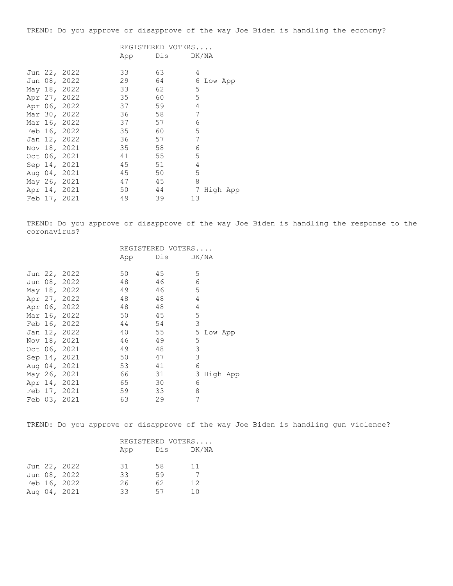TREND: Do you approve or disapprove of the way Joe Biden is handling the economy?

|     | REGISTERED VOTERS |       |
|-----|-------------------|-------|
| App | Dis               | DK/NA |

|  | Jun 22, 2022 | 33 | 63 | 4  |           |
|--|--------------|----|----|----|-----------|
|  | Jun 08, 2022 | 29 | 64 |    | 6 Low App |
|  | May 18, 2022 | 33 | 62 | 5  |           |
|  | Apr 27, 2022 | 35 | 60 | 5  |           |
|  | Apr 06, 2022 | 37 | 59 | 4  |           |
|  | Mar 30, 2022 | 36 | 58 | 7  |           |
|  | Mar 16, 2022 | 37 | 57 | 6  |           |
|  | Feb 16, 2022 | 35 | 60 | 5  |           |
|  | Jan 12, 2022 | 36 | 57 | 7  |           |
|  | Nov 18, 2021 | 35 | 58 | 6  |           |
|  | Oct 06, 2021 | 41 | 55 | 5  |           |
|  | Sep 14, 2021 | 45 | 51 | 4  |           |
|  | Aug 04, 2021 | 45 | 50 | 5  |           |
|  | May 26, 2021 | 47 | 45 | 8  |           |
|  | Apr 14, 2021 | 50 | 44 | 7  | High App  |
|  | Feb 17, 2021 | 49 | 39 | 13 |           |

TREND: Do you approve or disapprove of the way Joe Biden is handling the response to the coronavirus?

|  |              | REGISTERED VOTERS |     |               |  |
|--|--------------|-------------------|-----|---------------|--|
|  |              | App               | Dis | DK/NA         |  |
|  | Jun 22, 2022 | 50                | 45  | 5             |  |
|  | Jun 08, 2022 | 48                | 46  | 6             |  |
|  | May 18, 2022 | 49                | 46  | 5             |  |
|  | Apr 27, 2022 | 48                | 48  | 4             |  |
|  | Apr 06, 2022 | 48                | 48  | 4             |  |
|  | Mar 16, 2022 | 50                | 45  | 5             |  |
|  | Feb 16, 2022 | 44                | 54  | 3             |  |
|  | Jan 12, 2022 | 40                | 55  | 5<br>Low App  |  |
|  | Nov 18, 2021 | 46                | 49  | 5             |  |
|  | Oct 06, 2021 | 49                | 48  | 3             |  |
|  | Sep 14, 2021 | 50                | 47  | 3             |  |
|  | Aug 04, 2021 | 53                | 41  | 6             |  |
|  | May 26, 2021 | 66                | 31  | 3<br>High App |  |
|  | Apr 14, 2021 | 65                | 30  | 6             |  |
|  | Feb 17, 2021 | 59                | 33  | 8             |  |
|  | Feb 03, 2021 | 63                | 29  | 7             |  |
|  |              |                   |     |               |  |

TREND: Do you approve or disapprove of the way Joe Biden is handling gun violence?

|  |              | REGISTERED VOTERS |     |       |  |  |
|--|--------------|-------------------|-----|-------|--|--|
|  |              | App               | Dis | DK/NA |  |  |
|  |              |                   |     |       |  |  |
|  | Jun 22, 2022 | 31                | 58  | 11    |  |  |
|  | Jun 08, 2022 | 33                | 59  |       |  |  |
|  | Feb 16, 2022 | 26                | 62  | 12    |  |  |
|  | Aug 04, 2021 | 33                | 57  | 10    |  |  |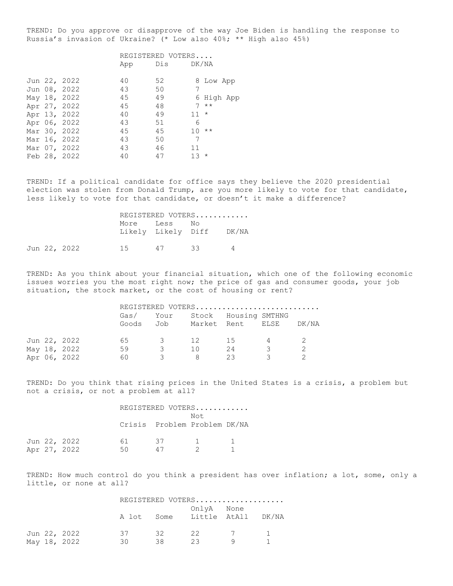TREND: Do you approve or disapprove of the way Joe Biden is handling the response to Russia's invasion of Ukraine? (\* Low also 40%; \*\* High also 45%)

|  |              |     | REGISTERED VOTERS |         |            |
|--|--------------|-----|-------------------|---------|------------|
|  |              | App | Dis DK/NA         |         |            |
|  | Jun 22, 2022 | 40  | 52                |         | 8 Low App  |
|  | Jun 08, 2022 | 43  | 50                | 7       |            |
|  | May 18, 2022 | 45  | 49                |         | 6 High App |
|  | Apr 27, 2022 | 45  | 48                |         | $7 * *$    |
|  | Apr 13, 2022 | 40  | 49                | $11 *$  |            |
|  | Apr 06, 2022 | 43  | 51                | 6       |            |
|  | Mar 30, 2022 | 45  | 45                | $10***$ |            |
|  | Mar 16, 2022 | 43  | 50                | 7       |            |
|  | Mar 07, 2022 | 43  | 46                | 11      |            |
|  | Feb 28, 2022 | 40  | 47                | 1.3     | $\star$    |

TREND: If a political candidate for office says they believe the 2020 presidential election was stolen from Donald Trump, are you more likely to vote for that candidate, less likely to vote for that candidate, or doesn't it make a difference?

|  |              |           | REGISTERED VOTERS        |     |   |
|--|--------------|-----------|--------------------------|-----|---|
|  |              | More Less | Likely Likely Diff DK/NA | No. |   |
|  | Jun 22, 2022 |           | 15 47 33                 |     | 4 |

TREND: As you think about your financial situation, which one of the following economic issues worries you the most right now; the price of gas and consumer goods, your job situation, the stock market, or the cost of housing or rent?

|  |              |      |                         |     |      |                           | REGISTERED VOTERS                |
|--|--------------|------|-------------------------|-----|------|---------------------------|----------------------------------|
|  |              | Gas/ |                         |     |      | Your Stock Housing SMTHNG | Goods Job Market Rent ELSE DK/NA |
|  | Jun 22, 2022 | 65 — | $\overline{\mathbf{3}}$ | 12  | - 15 |                           |                                  |
|  | May 18, 2022 | 59   | $\mathcal{R}$           | 1 N | -24  | $\mathcal{R}$             |                                  |
|  | Apr 06, 2022 | 60.  |                         | 8   | 23   | $\mathcal{R}$             |                                  |

TREND: Do you think that rising prices in the United States is a crisis, a problem but not a crisis, or not a problem at all?

|  |              | REGISTERED VOTERS |                              |                |  |  |  |
|--|--------------|-------------------|------------------------------|----------------|--|--|--|
|  |              |                   |                              | Not            |  |  |  |
|  |              |                   | Crisis Problem Problem DK/NA |                |  |  |  |
|  |              |                   |                              |                |  |  |  |
|  | Jun 22, 2022 | 61                | 37                           | $\overline{1}$ |  |  |  |
|  | Apr 27, 2022 | 50                | $\perp$ 1                    |                |  |  |  |

TREND: How much control do you think a president has over inflation; a lot, some, only a little, or none at all?

|  |              | REGISTERED VOTERS |    |            |                               |  |  |
|--|--------------|-------------------|----|------------|-------------------------------|--|--|
|  |              |                   |    | OnlyA None | A lot Some Little AtAll DK/NA |  |  |
|  | Jun 22, 2022 | 37                | 32 | 22         | 7 1                           |  |  |
|  | May 18, 2022 | 30.               | 38 | - 23       |                               |  |  |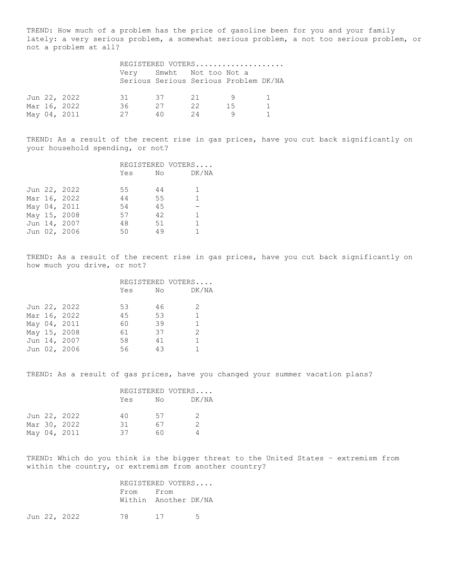TREND: How much of a problem has the price of gasoline been for you and your family lately: a very serious problem, a somewhat serious problem, a not too serious problem, or not a problem at all?

|  |              | REGISTERED VOTERS |     |                                                                   |    |  |  |
|--|--------------|-------------------|-----|-------------------------------------------------------------------|----|--|--|
|  |              |                   |     | Verv Smwht Not too Not a<br>Serious Serious Serious Problem DK/NA |    |  |  |
|  | Jun 22, 2022 | 31                | 37  | 21                                                                | q  |  |  |
|  | Mar 16, 2022 | 36.               | 27  | 22                                                                | 15 |  |  |
|  | May 04, 2011 | 27                | 4 N | 24                                                                |    |  |  |

TREND: As a result of the recent rise in gas prices, have you cut back significantly on your household spending, or not?

|  |              |     |    | REGISTERED VOTERS |  |
|--|--------------|-----|----|-------------------|--|
|  |              | Yes | No | DK/NA             |  |
|  |              |     |    |                   |  |
|  | Jun 22, 2022 | 55  | 44 | 1.                |  |
|  | Mar 16, 2022 | 44  | 55 | $\mathbf{1}$      |  |
|  | May 04, 2011 | 54  | 45 |                   |  |
|  | May 15, 2008 | 57  | 42 | $\mathbf{1}$      |  |
|  | Jun 14, 2007 | 48  | 51 | 1                 |  |
|  | Jun 02, 2006 | 50  | 49 |                   |  |

TREND: As a result of the recent rise in gas prices, have you cut back significantly on how much you drive, or not?

|  |              | REGISTERED VOTERS |    |               |
|--|--------------|-------------------|----|---------------|
|  |              | Yes               | No | DK/NA         |
|  | Jun 22, 2022 | 53                | 46 | 2             |
|  |              |                   |    |               |
|  | Mar 16, 2022 | 45                | 53 |               |
|  | May 04, 2011 | 60                | 39 |               |
|  | May 15, 2008 | 61                | 37 | $\mathcal{L}$ |
|  | Jun 14, 2007 | 58                | 41 |               |
|  | Jun 02, 2006 | 56                | 43 |               |

TREND: As a result of gas prices, have you changed your summer vacation plans?

|  |              |     |    | REGISTERED VOTERS    |  |
|--|--------------|-----|----|----------------------|--|
|  |              | Yes | No | DK/NA                |  |
|  | Jun 22, 2022 | 40  | 57 | $\mathcal{P} \equiv$ |  |
|  | Mar 30, 2022 | .31 | 67 | $\mathcal{P}$        |  |
|  | May 04, 2011 | 37  | 60 |                      |  |
|  |              |     |    |                      |  |

TREND: Which do you think is the bigger threat to the United States – extremism from within the country, or extremism from another country?

|      | REGISTERED VOTERS    |  |
|------|----------------------|--|
| From | From                 |  |
|      | Within Another DK/NA |  |

Jun 22, 2022 78 17 5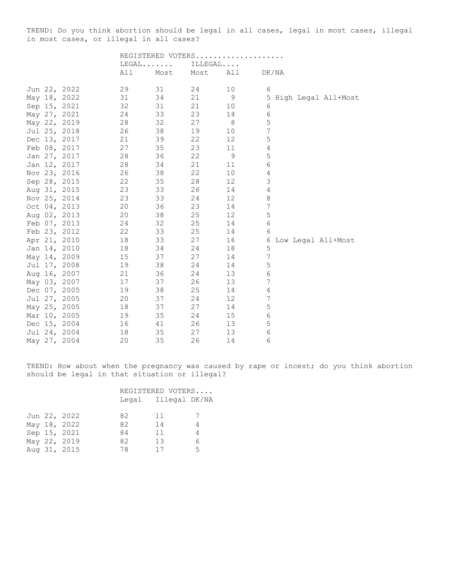TREND: Do you think abortion should be legal in all cases, legal in most cases, illegal in most cases, or illegal in all cases?

|  |                                                                                                                                                                                                                                                                                                                                                                                                                                                                                                              |      | ILLEGAL |                |                                     |
|--|--------------------------------------------------------------------------------------------------------------------------------------------------------------------------------------------------------------------------------------------------------------------------------------------------------------------------------------------------------------------------------------------------------------------------------------------------------------------------------------------------------------|------|---------|----------------|-------------------------------------|
|  | All                                                                                                                                                                                                                                                                                                                                                                                                                                                                                                          | Most | Most    | All            | DK/NA                               |
|  | 29                                                                                                                                                                                                                                                                                                                                                                                                                                                                                                           | 31   | 24      | 10             | 6                                   |
|  | 31                                                                                                                                                                                                                                                                                                                                                                                                                                                                                                           | 34   | 21      |                | 5 High Legal All+Most               |
|  | 32                                                                                                                                                                                                                                                                                                                                                                                                                                                                                                           | 31   | 21      | 10             | 6                                   |
|  | 24                                                                                                                                                                                                                                                                                                                                                                                                                                                                                                           | 33   | 23      | 14             | $\epsilon$                          |
|  | 28                                                                                                                                                                                                                                                                                                                                                                                                                                                                                                           | 32   | 27      | 8 <sup>8</sup> | 5                                   |
|  | 26                                                                                                                                                                                                                                                                                                                                                                                                                                                                                                           | 38   | 19      | 10             | $\overline{7}$                      |
|  | 21                                                                                                                                                                                                                                                                                                                                                                                                                                                                                                           | 39   | 22      | 12             | 5                                   |
|  | 27                                                                                                                                                                                                                                                                                                                                                                                                                                                                                                           | 35   | 23      | 11             | 4                                   |
|  | 28                                                                                                                                                                                                                                                                                                                                                                                                                                                                                                           | 36   | 22      | 9              | $\mathsf S$                         |
|  | 28                                                                                                                                                                                                                                                                                                                                                                                                                                                                                                           | 34   | 21      | 11             | 6                                   |
|  | 26                                                                                                                                                                                                                                                                                                                                                                                                                                                                                                           | 38   | 22      | 10             | $\overline{4}$                      |
|  | 22                                                                                                                                                                                                                                                                                                                                                                                                                                                                                                           | 35   | 28      | 12             | 3                                   |
|  | 23                                                                                                                                                                                                                                                                                                                                                                                                                                                                                                           | 33   | 26      | 14             | 4                                   |
|  | 23                                                                                                                                                                                                                                                                                                                                                                                                                                                                                                           | 33   | 24      | 12             | $\,8\,$                             |
|  | 20                                                                                                                                                                                                                                                                                                                                                                                                                                                                                                           | 36   | 23      | 14             | 7                                   |
|  | 20                                                                                                                                                                                                                                                                                                                                                                                                                                                                                                           | 38   | 25      | 12             | $\mathsf S$                         |
|  | 24                                                                                                                                                                                                                                                                                                                                                                                                                                                                                                           | 32   | 25      | 14             | 6                                   |
|  | 22                                                                                                                                                                                                                                                                                                                                                                                                                                                                                                           | 33   | 25      | 14             | 6                                   |
|  | 18                                                                                                                                                                                                                                                                                                                                                                                                                                                                                                           | 33   | 27      | 16             | 6 Low Legal All+Most                |
|  | 18                                                                                                                                                                                                                                                                                                                                                                                                                                                                                                           | 34   | 24      | 18             | 5                                   |
|  | 15                                                                                                                                                                                                                                                                                                                                                                                                                                                                                                           | 37   | 27      | 14             | 7                                   |
|  | 19                                                                                                                                                                                                                                                                                                                                                                                                                                                                                                           | 38   | 24      | 14             | $\mathsf S$                         |
|  | 21                                                                                                                                                                                                                                                                                                                                                                                                                                                                                                           | 36   | 24      | 13             | 6                                   |
|  | 17                                                                                                                                                                                                                                                                                                                                                                                                                                                                                                           | 37   | 26      | 13             | $\overline{7}$                      |
|  | 19                                                                                                                                                                                                                                                                                                                                                                                                                                                                                                           | 38   | 25      | 14             | $\overline{4}$                      |
|  | 20                                                                                                                                                                                                                                                                                                                                                                                                                                                                                                           | 37   | 24      | 12             | $\boldsymbol{7}$                    |
|  | 18                                                                                                                                                                                                                                                                                                                                                                                                                                                                                                           | 37   | 27      | 14             | 5                                   |
|  | 19                                                                                                                                                                                                                                                                                                                                                                                                                                                                                                           | 35   | 24      | 15             | 6                                   |
|  | 16                                                                                                                                                                                                                                                                                                                                                                                                                                                                                                           | 41   | 26      | 13             | $\mathsf S$                         |
|  | 18                                                                                                                                                                                                                                                                                                                                                                                                                                                                                                           | 35   | 27      | 13             | $\epsilon$                          |
|  | 20                                                                                                                                                                                                                                                                                                                                                                                                                                                                                                           | 35   | 26      | 14             | 6                                   |
|  | Jun 22, 2022<br>May 18, 2022<br>Sep 15, 2021<br>May 27, 2021<br>May 22, 2019<br>Jul 25, 2018<br>Dec 13, 2017<br>Feb 08, 2017<br>Jan 27, 2017<br>Jan 12, 2017<br>Nov 23, 2016<br>Sep 28, 2015<br>Aug 31, 2015<br>Nov 25, 2014<br>Oct 04, 2013<br>Aug 02, 2013<br>Feb 07, 2013<br>Feb 23, 2012<br>Apr 21, 2010<br>Jan 14, 2010<br>May 14, 2009<br>Jul 17, 2008<br>Aug 16, 2007<br>May 03, 2007<br>Dec 07, 2005<br>Jul 27, 2005<br>May 25, 2005<br>Mar 10, 2005<br>Dec 15, 2004<br>Jul 24, 2004<br>May 27, 2004 |      | $LEGAL$ |                | REGISTERED VOTERS<br>$\overline{9}$ |

TREND: How about when the pregnancy was caused by rape or incest; do you think abortion should be legal in that situation or illegal?

## REGISTERED VOTERS.... Legal Illegal DK/NA

|  | Jun 22, 2022 | 82 | 11 | -7 |
|--|--------------|----|----|----|
|  | May 18, 2022 | 82 | 14 | 4  |
|  | Sep 15, 2021 | 84 | 11 | 4  |
|  | May 22, 2019 | 82 | 13 | 6. |
|  | Aug 31, 2015 | 78 | 17 | 5. |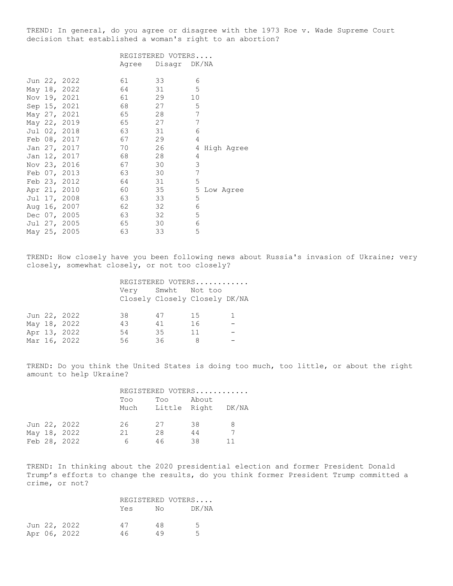TREND: In general, do you agree or disagree with the 1973 Roe v. Wade Supreme Court decision that established a woman's right to an abortion?

|  |              | REGISTERED VOTERS |              |                 |  |  |
|--|--------------|-------------------|--------------|-----------------|--|--|
|  |              | Agree             | Disagr DK/NA |                 |  |  |
|  | Jun 22, 2022 | 61                | 33           | 6               |  |  |
|  | May 18, 2022 | 64                | 31           | 5               |  |  |
|  | Nov 19, 2021 | 61                | 29           | 10              |  |  |
|  | Sep 15, 2021 | 68                | 27           | 5               |  |  |
|  | May 27, 2021 | 65                | 28           | 7               |  |  |
|  | May 22, 2019 | 65                | 27           | 7               |  |  |
|  | Jul 02, 2018 | 63                | 31           | 6               |  |  |
|  | Feb 08, 2017 | 67                | 29           | 4               |  |  |
|  | Jan 27, 2017 | 70                | 26           | 4<br>High Agree |  |  |
|  | Jan 12, 2017 | 68                | 28           | 4               |  |  |
|  | Nov 23, 2016 | 67                | 30           | 3               |  |  |
|  | Feb 07, 2013 | 63                | 30           | 7               |  |  |
|  | Feb 23, 2012 | 64                | 31           | 5               |  |  |
|  | Apr 21, 2010 | 60                | 35           | 5<br>Low Agree  |  |  |
|  | Jul 17, 2008 | 63                | 33           | 5               |  |  |
|  | Aug 16, 2007 | 62                | 32           | 6               |  |  |
|  | Dec 07, 2005 | 63                | 32           | 5               |  |  |
|  | Jul 27, 2005 | 65                | 30           | 6               |  |  |
|  | May 25, 2005 | 63                | 33           | 5               |  |  |

TREND: How closely have you been following news about Russia's invasion of Ukraine; very closely, somewhat closely, or not too closely?

|  |              | REGISTERED VOTERS |                    |                               |  |  |  |
|--|--------------|-------------------|--------------------|-------------------------------|--|--|--|
|  |              |                   | Very Smwht Not too | Closely Closely Closely DK/NA |  |  |  |
|  |              |                   |                    |                               |  |  |  |
|  | Jun 22, 2022 | 38                | 47                 | 15                            |  |  |  |
|  | May 18, 2022 | 43                | 41                 | 16                            |  |  |  |
|  | Apr 13, 2022 | 54                | 35                 | 11                            |  |  |  |
|  | Mar 16, 2022 | 56                | 36                 | 8                             |  |  |  |

TREND: Do you think the United States is doing too much, too little, or about the right amount to help Ukraine?

|  |              | REGISTERED VOTERS |                                |       |   |  |
|--|--------------|-------------------|--------------------------------|-------|---|--|
|  |              | Too               | Too<br>Much Little Right DK/NA | About |   |  |
|  | Jun 22, 2022 | 26.               | -27                            | 38    | 8 |  |
|  | May 18, 2022 | 21                | 28                             | 44    |   |  |
|  | Feb 28, 2022 | h                 | 46                             | 38    |   |  |

TREND: In thinking about the 2020 presidential election and former President Donald Trump's efforts to change the results, do you think former President Trump committed a crime, or not?

|  |              |     | REGISTERED VOTERS |                |
|--|--------------|-----|-------------------|----------------|
|  |              | Yes | No                | DK/NA          |
|  | Jun 22, 2022 | 47  | 48                | $\overline{a}$ |
|  | Apr 06, 2022 | 46  | 49                | ь.             |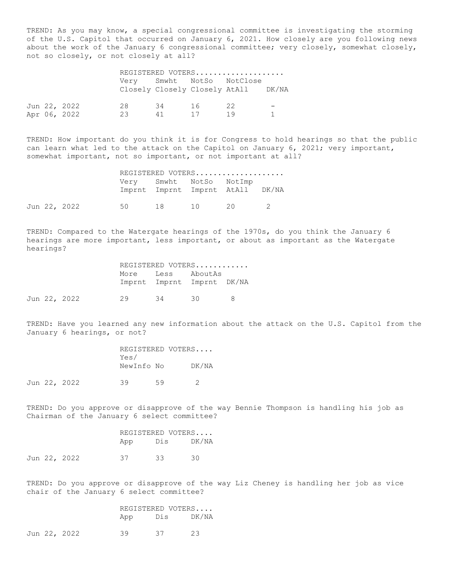TREND: As you may know, a special congressional committee is investigating the storming of the U.S. Capitol that occurred on January 6, 2021. How closely are you following news about the work of the January 6 congressional committee; very closely, somewhat closely, not so closely, or not closely at all?

|  |              |    |    |    | REGISTERED VOTERS                                                |  |
|--|--------------|----|----|----|------------------------------------------------------------------|--|
|  |              |    |    |    | Very Smwht NotSo NotClose<br>Closely Closely Closely AtAll DK/NA |  |
|  | Jun 22, 2022 | 28 | 34 | 16 | 22                                                               |  |
|  | Apr 06, 2022 | 23 | 41 | 17 | 19                                                               |  |

TREND: How important do you think it is for Congress to hold hearings so that the public can learn what led to the attack on the Capitol on January 6, 2021; very important, somewhat important, not so important, or not important at all?

|  |              |                         | REGISTERED VOTERS                |  |
|--|--------------|-------------------------|----------------------------------|--|
|  |              | Very Smwht NotSo NotImp | Imprnt Imprnt Imprnt AtAll DK/NA |  |
|  | Jun 22, 2022 |                         | 50 18 10 20 2                    |  |

TREND: Compared to the Watergate hearings of the 1970s, do you think the January 6 hearings are more important, less important, or about as important as the Watergate hearings?

|  |              | REGISTERED VOTERS |          |                            |               |  |  |
|--|--------------|-------------------|----------|----------------------------|---------------|--|--|
|  |              |                   |          | More Less AboutAs          |               |  |  |
|  |              |                   |          | Imprnt Imprnt Imprnt DK/NA |               |  |  |
|  | Jun 22, 2022 |                   | 29 34 30 |                            | $\mathcal{R}$ |  |  |

TREND: Have you learned any new information about the attack on the U.S. Capitol from the January 6 hearings, or not?

| REGISTERED VOTERS |       |
|-------------------|-------|
| Yes/              |       |
| NewInfo No        | DK/NA |
|                   |       |

Jun 22, 2022 39 59 2

TREND: Do you approve or disapprove of the way Bennie Thompson is handling his job as Chairman of the January 6 select committee?

|  |              | REGISTERED VOTERS |           |     |  |
|--|--------------|-------------------|-----------|-----|--|
|  |              | App               | Dis DK/NA |     |  |
|  | Jun 22, 2022 | 37                | 33        | 30. |  |

TREND: Do you approve or disapprove of the way Liz Cheney is handling her job as vice chair of the January 6 select committee?

|  |              |     | REGISTERED VOTERS |           |  |  |
|--|--------------|-----|-------------------|-----------|--|--|
|  |              | App |                   | Dis DK/NA |  |  |
|  | Jun 22, 2022 | 39  | 37                | 23        |  |  |